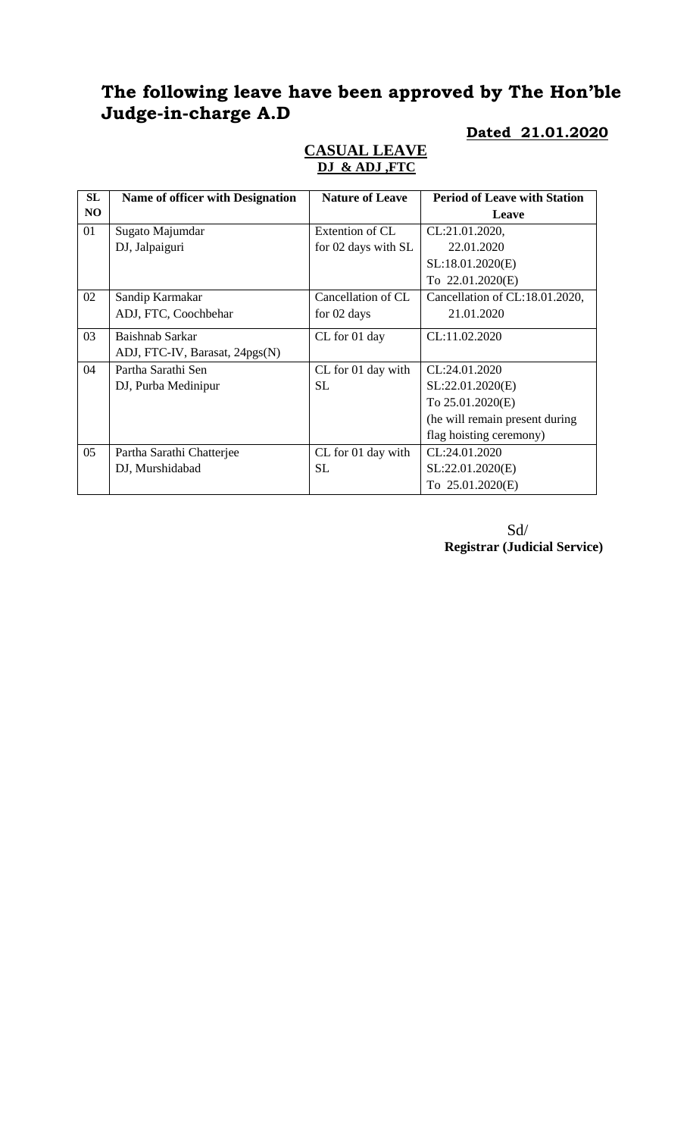# **The following leave have been approved by The Hon'ble Judge-in-charge A.D**

#### **SL NO** Name of officer with Designation | Nature of Leave | Period of Leave with Station **Leave** 01 Sugato Majumdar DJ, Jalpaiguri Extention of CL for 02 days with SL CL:21.01.2020, 22.01.2020 SL:18.01.2020(E) To 22.01.2020(E) 02 Sandip Karmakar ADJ, FTC, Coochbehar Cancellation of CL for 02 days Cancellation of CL:18.01.2020, 21.01.2020 03 Baishnab Sarkar ADJ, FTC-IV, Barasat, 24pgs(N) CL for 01 day CL:11.02.2020 04 Partha Sarathi Sen DJ, Purba Medinipur CL for 01 day with SL CL:24.01.2020 SL:22.01.2020(E) To 25.01.2020(E) (he will remain present during flag hoisting ceremony) 05 Partha Sarathi Chatterjee DJ, Murshidabad CL for 01 day with SL CL:24.01.2020 SL:22.01.2020(E) To 25.01.2020(E)

#### **CASUAL LEAVE DJ & ADJ ,FTC**

 Sd/ **Registrar (Judicial Service)**

**Dated 21.01.2020**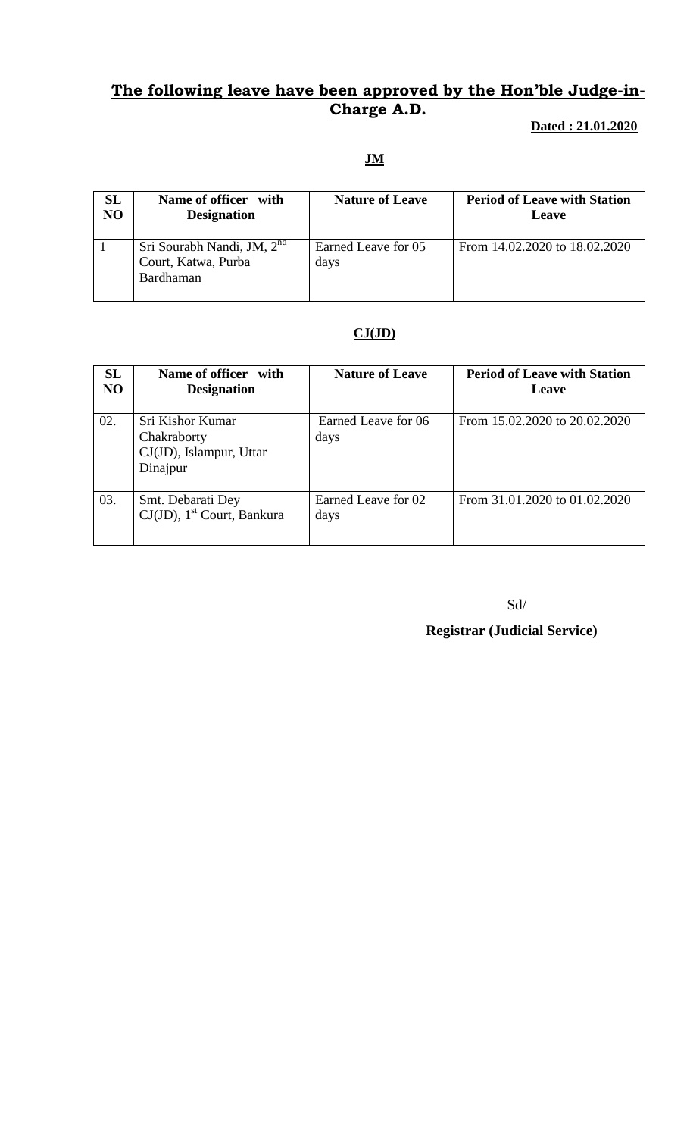### **The following leave have been approved by the Hon'ble Judge-in-Charge A.D.**

 **Dated : 21.01.2020**

**JM**

| SL             | Name of officer with                                                       | <b>Nature of Leave</b>      | <b>Period of Leave with Station</b> |
|----------------|----------------------------------------------------------------------------|-----------------------------|-------------------------------------|
| N <sub>O</sub> | <b>Designation</b>                                                         |                             | Leave                               |
|                | Sri Sourabh Nandi, JM, 2 <sup>nd</sup><br>Court, Katwa, Purba<br>Bardhaman | Earned Leave for 05<br>days | From 14.02.2020 to 18.02.2020       |

#### **CJ(JD)**

| <b>SL</b><br>NO | Name of officer with<br><b>Designation</b>                             | <b>Nature of Leave</b>      | <b>Period of Leave with Station</b><br>Leave |
|-----------------|------------------------------------------------------------------------|-----------------------------|----------------------------------------------|
| 02.             | Sri Kishor Kumar<br>Chakraborty<br>CJ(JD), Islampur, Uttar<br>Dinajpur | Earned Leave for 06<br>days | From 15.02.2020 to 20.02.2020                |
| 03.             | Smt. Debarati Dey<br>$CJ(JD)$ , 1 <sup>st</sup> Court, Bankura         | Earned Leave for 02<br>days | From 31.01.2020 to 01.02.2020                |

Sd/

**Registrar (Judicial Service)**